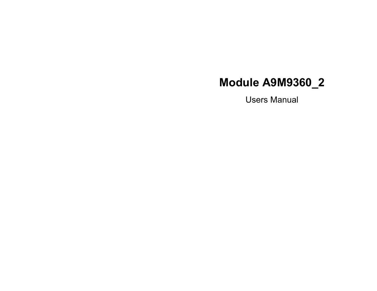Users Manual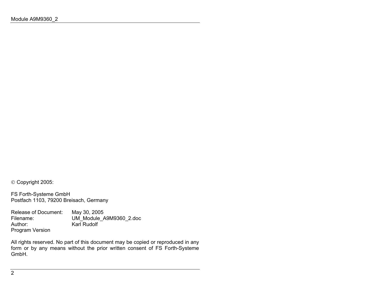Copyright 2005:

FS Forth-Systeme GmbH Postfach 1103, 79200 Breisach, Germany

Release of Document: May 30, 2005<br>Filename: UM Module A Filename: UM\_Module\_A9M9360\_2.doc<br>Author: Karl Rudolf Karl Rudolf Program Version

All rights reserved. No part of this document may be copied or reproduced in any form or by any means without the prior written consent of FS Forth-Systeme GmbH.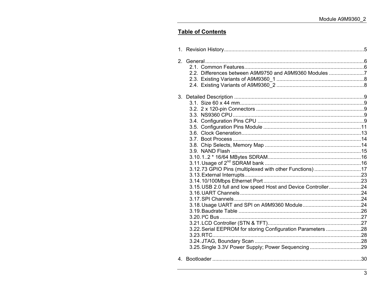# **Table of Contents**

| 2. | 2.2. Differences between A9M9750 and A9M9360 Modules 7                                                                                                                                  |  |
|----|-----------------------------------------------------------------------------------------------------------------------------------------------------------------------------------------|--|
|    | 3.12.73 GPIO Pins (multiplexed with other Functions) 17<br>3.15. USB 2.0 full and low speed Host and Device Controller24<br>3.22. Serial EEPROM for storing Configuration Parameters 28 |  |
|    |                                                                                                                                                                                         |  |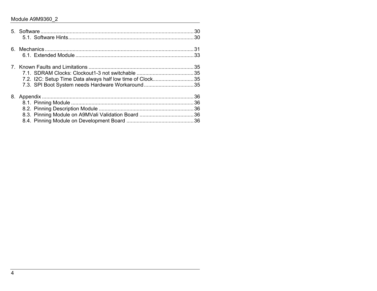| 7.2. I2C: Setup Time Data always half low time of Clock35<br>7.3. SPI Boot System needs Hardware Workaround 35 |  |
|----------------------------------------------------------------------------------------------------------------|--|
|                                                                                                                |  |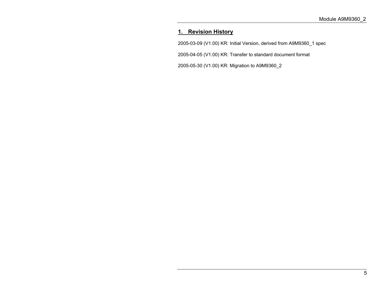# **1. Revision History**

2005-03-09 (V1.00) KR: Initial Version, derived from A9M9360\_1 spec

2005-04-05 (V1.00) KR: Transfer to standard document format

2005-05-30 (V1.00) KR: Migration to A9M9360\_2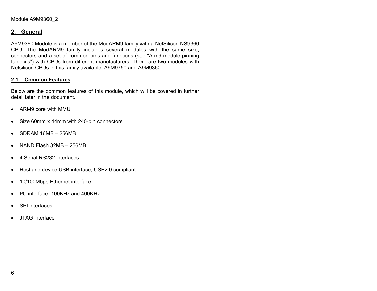# **2. General**

A9M9360 Module is a member of the ModARM9 family with a NetSilicon NS9360 CPU. The ModARM9 family includes several modules with the same size, connectors and a set of common pins and functions (see "Arm9 module pinning table.xls") with CPUs from different manufacturers. There are two modules with Netsilicon CPUs in this family available: A9M9750 and A9M9360.

#### **2.1. Common Features**

Below are the common features of this module, which will be covered in further detail later in the document.

- ARM9 core with MMU
- Size 60mm x 44mm with 240-pin connectors
- SDRAM 16MB 256MB
- NAND Flash 32MB 256MB
- 4 Serial RS232 interfaces
- Host and device USB interface, USB2.0 compliant
- 10/100Mbps Ethernet interface
- I²C interface, 100KHz and 400KHz
- SPI interfaces
- JTAG interface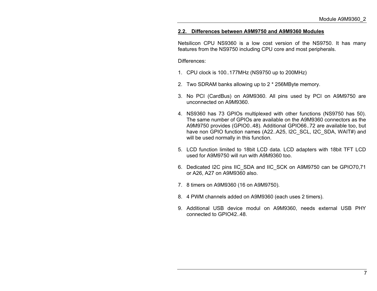#### **2.2. Differences between A9M9750 and A9M9360 Modules**

Netsilicon CPU NS9360 is a low cost version of the NS9750. It has many features from the NS9750 including CPU core and most peripherals.

Differences:

- 1. CPU clock is 100..177MHz (NS9750 up to 200MHz)
- 2. Two SDRAM banks allowing up to 2 \* 256MByte memory.
- 3. No PCI (CardBus) on A9M9360. All pins used by PCI on A9M9750 are unconnected on A9M9360.
- 4. NS9360 has 73 GPIOs multiplexed with other functions (NS9750 has 50). The same number of GPIOs are available on the A9M9360 connectors as theA9M9750 provides (GPIO0..48). Additional GPIO66..72 are available too, but have non GPIO function names (A22..A25, I2C\_SCL, I2C\_SDA, WAIT#) and will be used normally in this function.
- 5. LCD function limited to 18bit LCD data. LCD adapters with 18bit TFT LCD used for A9M9750 will run with A9M9360 too.
- 6. Dedicated I2C pins IIC\_SDA and IIC\_SCK on A9M9750 can be GPIO70,71 or A26, A27 on A9M9360 also.
- 7. 8 timers on A9M9360 (16 on A9M9750).
- 8. 4 PWM channels added on A9M9360 (each uses 2 timers).
- 9. Additional USB device modul on A9M9360, needs external USB PHY connected to GPIO42..48.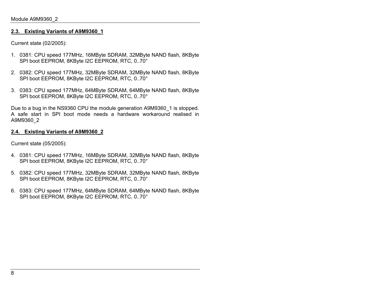#### **2.3. Existing Variants of A9M9360\_1**

Current state (02/2005):

- 1. 0381: CPU speed 177MHz, 16MByte SDRAM, 32MByte NAND flash, 8KByte SPI boot EEPROM, 8KByte I2C EEPROM, RTC, 0..70°
- 2. 0382: CPU speed 177MHz, 32MByte SDRAM, 32MByte NAND flash, 8KByte SPI boot EEPROM, 8KByte I2C EEPROM, RTC, 0..70°
- 3. 0383: CPU speed 177MHz, 64MByte SDRAM, 64MByte NAND flash, 8KByte SPI boot EEPROM, 8KByte I2C EEPROM, RTC, 0..70°

Due to a bug in the NS9360 CPU the module generation A9M9360 1 is stopped. A safe start in SPI boot mode needs a hardware workaround realised inA9M9360\_2

#### **2.4. Existing Variants of A9M9360\_2**

Current state (05/2005):

- 4. 0381: CPU speed 177MHz, 16MByte SDRAM, 32MByte NAND flash, 8KByte SPI boot EEPROM, 8KByte I2C EEPROM, RTC, 0..70°
- 5. 0382: CPU speed 177MHz, 32MByte SDRAM, 32MByte NAND flash, 8KByte SPI boot EEPROM, 8KByte I2C EEPROM, RTC, 0..70°
- 6. 0383: CPU speed 177MHz, 64MByte SDRAM, 64MByte NAND flash, 8KByte SPI boot EEPROM, 8KByte I2C EEPROM, RTC, 0..70°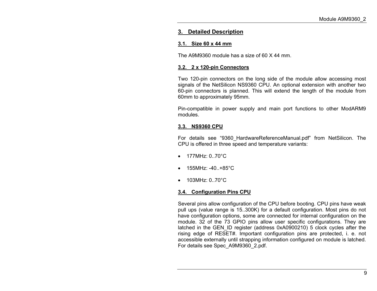# **3. Detailed Description**

# **3.1. Size 60 x 44 mm**

The A9M9360 module has a size of 60 X 44 mm.

# **3.2. 2 x 120-pin Connectors**

Two 120-pin connectors on the long side of the module allow accessing most signals of the NetSilicon NS9360 CPU. An optional extension with another two 60-pin connectors is planned. This will extend the length of the module from 60mm to approximately 95mm.

Pin-compatible in power supply and main port functions to other ModARM9 modules.

# **3.3. NS9360 CPU**

For details see "9360\_HardwareReferenceManual.pdf" from NetSilicon. The CPU is offered in three speed and temperature variants:

- $177M$ Hz $\cdot$  0..70 $\degree$ C.
- $155MHz$ : -40..+85°C
- 103MHz: 0..70°C

# **3.4. Configuration Pins CPU**

Several pins allow configuration of the CPU before booting. CPU pins have weak pull ups (value range is 15..300K) for a default configuration. Most pins do not have configuration options, some are connected for internal configuration on the module. 32 of the 73 GPIO pins allow user specific configurations. They are latched in the GEN\_ID register (address 0xA0900210) 5 clock cycles after the rising edge of RESET#. Important configuration pins are protected, i. e. not accessible externally until strapping information configured on module is latched. For details see Spec\_A9M9360\_2.pdf.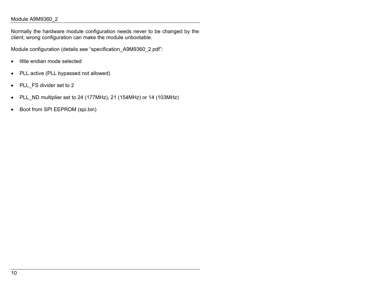Normally the hardware module configuration needs never to be changed by the client; wrong configuration can make the module unbootable.

Module configuration (details see "specification\_A9M9360\_2.pdf":

- little endian mode selected
- PLL active (PLL bypassed not allowed)
- PLL\_FS divider set to 2
- PLL\_ND multiplier set to 24 (177MHz), 21 (154MHz) or 14 (103MHz)
- Boot from SPI EEPROM (spi.bin)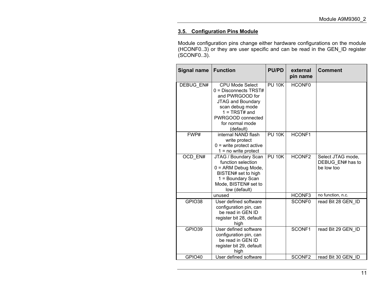# **3.5. Configuration Pins Module**

Module configuration pins change either hardware configurations on the module (HCONF0..3) or they are user specific and can be read in the GEN\_ID register (SCONF0..3).

| <b>Signal name</b> | <b>PU/PD</b><br><b>Function</b>                                                                                                                                                           |               | external<br>pin name | <b>Comment</b>                                      |
|--------------------|-------------------------------------------------------------------------------------------------------------------------------------------------------------------------------------------|---------------|----------------------|-----------------------------------------------------|
| DEBUG EN#          | <b>CPU Mode Select</b><br>0 = Disconnects TRST#<br>and PWRGOOD for<br><b>JTAG and Boundary</b><br>scan debug mode<br>$1 = TRST#$ and<br>PWRGOOD connected<br>for normal mode<br>(default) | <b>PU 10K</b> | HCONF <sub>0</sub>   |                                                     |
| FWP#               | internal NAND flash<br>write protect<br>$0 =$ write protect active<br>$1 = no$ write protect                                                                                              | <b>PU 10K</b> | HCONF1               |                                                     |
| OCD EN#            | JTAG / Boundary Scan<br>function selection<br>$0 = ARM$ Debug Mode,<br>BISTEN# set to high<br>1 = Boundary Scan<br>Mode, BISTEN# set to<br>low (default)                                  | <b>PU 10K</b> | HCONF <sub>2</sub>   | Select JTAG mode,<br>DEBUG EN# has to<br>be low too |
|                    | unused                                                                                                                                                                                    |               | HCONF3               | no function, n.c.                                   |
| GPIO38             | User defined software<br>configuration pin, can<br>be read in GEN ID<br>register bit 28, default<br>high                                                                                  |               | SCONF <sub>0</sub>   | read Bit 28 GEN ID                                  |
| GPIO39             | User defined software<br>configuration pin, can<br>be read in GEN ID<br>register bit 29, default<br>high                                                                                  |               | SCONF1               | read Bit 29 GEN ID                                  |
| GPIO40             | User defined software                                                                                                                                                                     |               | SCONF <sub>2</sub>   | read Bit 30 GEN ID                                  |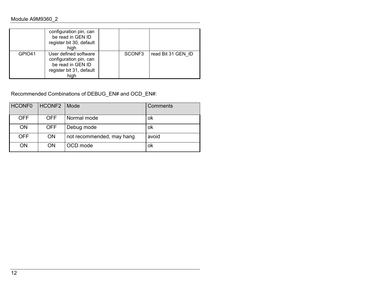|                    | configuration pin, can<br>be read in GEN ID<br>register bit 30, default<br>high                          |                    |                    |
|--------------------|----------------------------------------------------------------------------------------------------------|--------------------|--------------------|
| GPIO <sub>41</sub> | User defined software<br>configuration pin, can<br>be read in GEN ID<br>register bit 31, default<br>high | SCONF <sub>3</sub> | read Bit 31 GEN ID |

# Recommended Combinations of DEBUG\_EN# and OCD\_EN#:

| <b>HCONF0</b> | <b>HCONF2</b> | Mode                      | Comments |
|---------------|---------------|---------------------------|----------|
| <b>OFF</b>    | <b>OFF</b>    | Normal mode               | ok       |
| <b>ON</b>     | <b>OFF</b>    | Debug mode                | ok       |
| <b>OFF</b>    | <b>ON</b>     | not recommended, may hang | avoid    |
| ON            | <b>ON</b>     | OCD mode                  | ok       |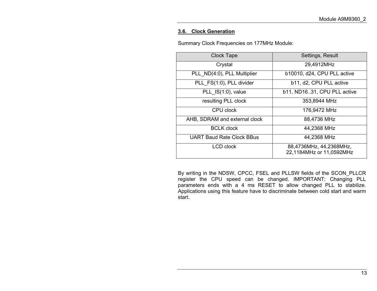#### **3.6. Clock Generation**

Summary Clock Frequencies on 177MHz Module:

| <b>Clock Tape</b>                | Settings, Result                                    |
|----------------------------------|-----------------------------------------------------|
| Crystal                          | 29,4912MHz                                          |
| PLL ND(4:0), PLL Multiplier      | b10010, d24, CPU PLL active                         |
| PLL FS(1:0), PLL divider         | b11, d2, CPU PLL active                             |
| PLL IS(1:0), value               | b11, ND1631, CPU PLL active                         |
| resulting PLL clock              | 353,8944 MHz                                        |
| CPU clock                        | 176,9472 MHz                                        |
| AHB, SDRAM and external clock    | 88,4736 MHz                                         |
| <b>BCLK clock</b>                | 44,2368 MHz                                         |
| <b>UART Baud Rate Clock BBus</b> | 44,2368 MHz                                         |
| LCD clock                        | 88,4736MHz, 44,2368MHz,<br>22,1184MHz or 11,0592MHz |

By writing in the NDSW, CPCC, FSEL and PLLSW fields of the SCON\_PLLCR register the CPU speed can be changed. IMPORTANT: Changing PLL parameters ends with a 4 ms RESET to allow changed PLL to stabilize. Applications using this feature have to discriminate between cold start and warm start.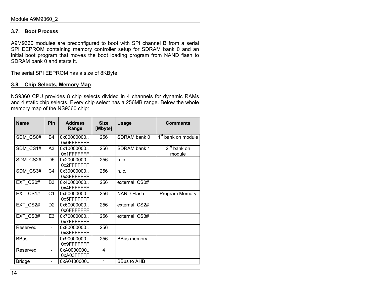#### **3.7. Boot Process**

A9M9360 modules are preconfigured to boot with SPI channel B from a serial SPI EEPROM containing memory controller setup for SDRAM bank 0 and an initial boot program that moves the boot loading program from NAND flash to SDRAM bank 0 and starts it.

The serial SPI EEPROM has a size of 8KByte.

#### **3.8. Chip Selects, Memory Map**

NS9360 CPU provides 8 chip selects divided in 4 channels for dynamic RAMs and 4 static chip selects. Every chip select has a 256MB range. Below the whole memory map of the NS9360 chip:

| <b>Name</b>   | Pin                      | <b>Address</b><br>Range   | <b>Size</b><br>[Mbyte] | <b>Usage</b>       | <b>Comments</b>                |
|---------------|--------------------------|---------------------------|------------------------|--------------------|--------------------------------|
| SDM CS0#      | <b>B4</b>                | 0x00000000<br>0x0FFFFFFFF | 256                    | SDRAM bank 0       | 1 <sup>st</sup> bank on module |
| SDM CS1#      | A <sub>3</sub>           | 0x10000000<br>0x1FFFFFFFF | 256                    | SDRAM bank 1       | $2^{nd}$ bank on<br>module     |
| SDM CS2#      | D <sub>5</sub>           | 0x20000000<br>0x2FFFFFFFF | 256                    | n. c.              |                                |
| SDM CS3#      | C <sub>4</sub>           | 0x30000000<br>0x3FFFFFFFF | 256                    | $n_{\rm c}$        |                                |
| EXT CS0#      | B <sub>3</sub>           | 0x40000000<br>0x4FFFFFFFF | 256                    | external, CS0#     |                                |
| EXT CS1#      | C <sub>1</sub>           | 0x50000000<br>0x5FFFFFFFF | 256                    | NAND-Flash         | Program Memory                 |
| EXT CS2#      | D2                       | 0x60000000<br>0x6FFFFFFFF | 256                    | external, CS2#     |                                |
| EXT CS3#      | E <sub>3</sub>           | 0x70000000<br>0x7FFFFFFFF | 256                    | external, CS3#     |                                |
| Reserved      | $\blacksquare$           | 0x80000000<br>0x8FFFFFFFF | 256                    |                    |                                |
| <b>BBus</b>   | $\overline{\phantom{0}}$ | 0x90000000<br>0x9FFFFFFFF | 256                    | <b>BBus memory</b> |                                |
| Reserved      | $\overline{\phantom{0}}$ | 0xA0000000<br>0xA03FFFFF  | 4                      |                    |                                |
| <b>Bridge</b> | $\overline{a}$           | 0xA0400000                | 1                      | <b>BBus to AHB</b> |                                |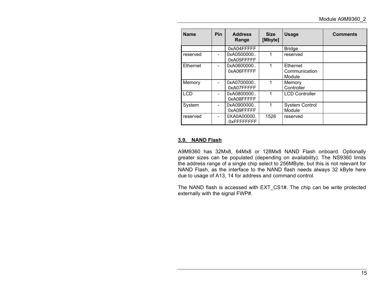| <b>Name</b> | <b>Pin</b>                   | <b>Address</b><br>Range     | <b>Size</b><br>[Mbyte] | <b>Usage</b>                        | <b>Comments</b> |
|-------------|------------------------------|-----------------------------|------------------------|-------------------------------------|-----------------|
|             |                              | 0xA04FFFFF                  |                        | <b>Bridge</b>                       |                 |
| reserved    | $\qquad \qquad \blacksquare$ | 0xA0500000.<br>0xA05FFFFF   | 1                      | reserved                            |                 |
| Ethernet    | $\qquad \qquad \blacksquare$ | 0xA0600000<br>0xA06FFFFF    | 1                      | Ethernet<br>Communication<br>Module |                 |
| Memory      | $\qquad \qquad \blacksquare$ | 0xA0700000<br>0xA07FFFFF    | 1                      | Memory<br>Controller                |                 |
| <b>LCD</b>  |                              | 0xA0800000.<br>0xA08FFFFF   | 1                      | <b>LCD Controller</b>               |                 |
| System      | $\overline{\phantom{0}}$     | 0xA0900000.<br>0xA09FFFFF   | 1                      | <b>System Control</b><br>Module     |                 |
| reserved    | $\qquad \qquad \blacksquare$ | 0XA0A00000.<br>.0xFFFFFFFFF | 1526                   | reserved                            |                 |

#### **3.9. NAND Flash**

A9M9360 has 32Mx8, 64Mx8 or 128Mx8 NAND Flash onboard. Optionally greater sizes can be populated (depending on availability). The NS9360 limits the address range of a single chip select to 256MByte, but this is not relevant for NAND Flash, as the interface to the NAND flash needs always 32 kByte here due to usage of A13, 14 for address and command control.

The NAND flash is accessed with EXT\_CS1#. The chip can be write protected externally with the signal FWP#.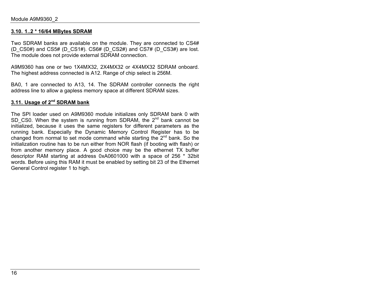#### **3.10. 1..2 \* 16/64 MBytes SDRAM**

Two SDRAM banks are available on the module. They are connected to CS4# (D\_CS0#) and CS5# (D\_CS1#). CS6# (D\_CS2#) and CS7# (D\_CS3#) are lost. The module does not provide external SDRAM connection.

A9M9360 has one or two 1X4MX32, 2X4MX32 or 4X4MX32 SDRAM onboard. The highest address connected is A12. Range of chip select is 256M.

BA0, 1 are connected to A13, 14. The SDRAM controller connects the right address line to allow a gapless memory space at different SDRAM sizes.

# **3.11. Usage of 2nd SDRAM bank**

The SPI loader used on A9M9360 module initializes only SDRAM bank 0 with SD CS0. When the system is running from SDRAM, the 2<sup>nd</sup> bank cannot be initialized, because it uses the same registers for different parameters as the running bank. Especially the Dynamic Memory Control Register has to be changed from normal to set mode command while starting the  $2<sup>nd</sup>$  bank. So the initialization routine has to be run either from NOR flash (if booting with flash) or from another memory place. A good choice may be the ethernet TX buffer descriptor RAM starting at address 0xA0601000 with a space of 256 \* 32bit words. Before using this RAM it must be enabled by setting bit 23 of the Ethernet General Control register 1 to high.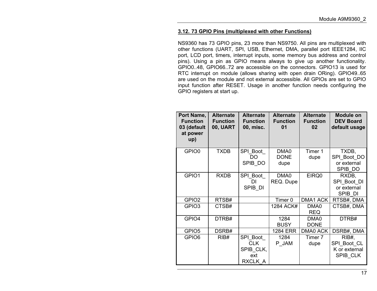#### **3.12. 73 GPIO Pins (multiplexed with other Functions)**

NS9360 has 73 GPIO pins, 23 more than NS9750. All pins are multiplexed with other functions (UART, SPI, USB, Ethernet, DMA, parallel port IEEE1284, IIC port, LCD port, timers, interrupt inputs, some memory bus address and control pins). Using a pin as GPIO means always to give up another functionality. GPIO0..48, GPIO66..72 are accessible on the connectors. GPIO13 is used for RTC interrupt on module (allows sharing with open drain ORing). GPIO49..65 are used on the module and not external accessible. All GPIOs are set to GPIO input function after RESET. Usage in another function needs configuring the GPIO registers at start up.

| Port Name,<br><b>Function</b><br>03 (default<br>at power<br>up) | <b>Alternate</b><br><b>Function</b><br><b>00, UART</b> | <b>Alternate</b><br><b>Function</b><br>00, misc.      | <b>Alternate</b><br><b>Function</b><br>01 | <b>Alternate</b><br><b>Function</b><br>02 | <b>Module on</b><br><b>DEV Board</b><br>default usage |
|-----------------------------------------------------------------|--------------------------------------------------------|-------------------------------------------------------|-------------------------------------------|-------------------------------------------|-------------------------------------------------------|
| GPIO0                                                           | <b>TXDB</b>                                            | SPI Boot<br>DO.<br>SPIB_DO                            | DMA0<br><b>DONE</b><br>dupe               | Timer 1<br>dupe                           | TXDB,<br>SPI_Boot_DO<br>or external<br>SPIB DO        |
| GPIO1                                                           | <b>RXDB</b>                                            | SPI Boot<br>DI<br>SPIB_DI                             | DMA0<br>REQ. Dupe                         | EIRQ0                                     | RXDB,<br>SPI Boot DI<br>or external<br>SPIB DI        |
| GPIO <sub>2</sub>                                               | RTSB#                                                  |                                                       | Timer 0                                   | DMA1 ACK                                  | RTSB#, DMA                                            |
| GPIO <sub>3</sub>                                               | CTSB#                                                  |                                                       | 1284 ACK#                                 | DMA <sub>0</sub><br><b>REQ</b>            | CTSB#, DMA                                            |
| GPIO4                                                           | DTRB#                                                  |                                                       | 1284<br><b>BUSY</b>                       | DMA0<br><b>DONE</b>                       | DTRB#                                                 |
| GPIO <sub>5</sub>                                               | DSRB#                                                  |                                                       | <b>1284 ERR</b>                           | DMA0 ACK                                  | DSRB#, DMA                                            |
| GPIO6                                                           | RIB#                                                   | SPI Boot<br><b>CLK</b><br>SPIB_CLK,<br>ext<br>RXCLK A | 1284<br>P_JAM                             | Timer 7<br>dupe                           | RIB#<br>SPI_Boot_CL<br>K or external<br>SPIB CLK      |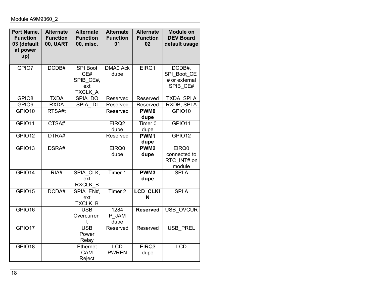| Port Name,<br><b>Function</b><br>03 (default<br>at power<br>up) | <b>Alternate</b><br><b>Function</b><br><b>00, UART</b> | <b>Alternate</b><br><b>Function</b><br>00, misc.      | <b>Alternate</b><br><b>Function</b><br>01 | <b>Alternate</b><br><b>Function</b><br>02 | <b>Module on</b><br><b>DEV Board</b><br>default usage |
|-----------------------------------------------------------------|--------------------------------------------------------|-------------------------------------------------------|-------------------------------------------|-------------------------------------------|-------------------------------------------------------|
| GPIO7                                                           | DCDB#                                                  | <b>SPI Boot</b><br>CE#<br>SPIB_CE#,<br>ext<br>TXCLK A | <b>DMA0 Ack</b><br>dupe                   | EIRQ1                                     | DCDB#,<br>SPI Boot CE<br># or external<br>SPIB CE#    |
| GPIO <sub>8</sub>                                               | <b>TXDA</b>                                            | SPIA DO                                               | Reserved                                  | Reserved                                  | TXDA, SPI A                                           |
| GPIO <sub>9</sub>                                               | <b>RXDA</b>                                            | <b>SPIA</b><br><b>DI</b>                              | Reserved                                  | Reserved                                  | RXDB, SPI A                                           |
| GPIO10                                                          | RTSA#t                                                 |                                                       | Reserved                                  | PWM <sub>0</sub><br>dupe                  | GPIO10                                                |
| GPIO11                                                          | CTSA#                                                  |                                                       | EIRQ <sub>2</sub><br>dupe                 | Timer <sub>0</sub><br>dupe                | GPIO11                                                |
| GPIO12                                                          | DTRA#                                                  |                                                       | Reserved                                  | PWM1<br>dupe                              | GPIO12                                                |
| GPIO13                                                          | DSRA#                                                  |                                                       | EIRQ0<br>dupe                             | PWM <sub>2</sub><br>dupe                  | EIRQ0<br>connected to<br>RTC INT# on<br>module        |
| GPIO14                                                          | RIA#                                                   | SPIA CLK,<br>ext<br>RXCLK B                           | Timer 1                                   | PWM3<br>dupe                              | <b>SPIA</b>                                           |
| GPIO15                                                          | DCDA#                                                  | SPIA EN#,<br>ext<br>TXCLK B                           | Timer <sub>2</sub>                        | LCD_CLKI<br>N                             | <b>SPIA</b>                                           |
| GPIO16                                                          |                                                        | <b>USB</b><br>Overcurren<br>t                         | 1284<br>P JAM<br>dupe                     | <b>Reserved</b>                           | <b>USB OVCUR</b>                                      |
| GPIO17                                                          |                                                        | <b>USB</b><br>Power<br>Relay                          | Reserved                                  | Reserved                                  | <b>USB PREL</b>                                       |
| GPIO18                                                          |                                                        | Ethernet<br><b>CAM</b><br>Reject                      | <b>LCD</b><br><b>PWREN</b>                | EIRQ3<br>dupe                             | <b>LCD</b>                                            |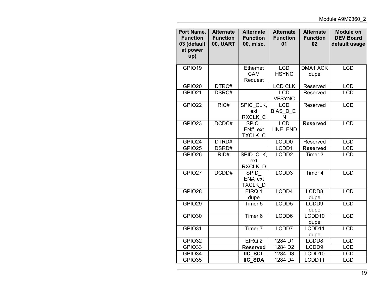| Port Name,<br><b>Function</b><br>03 (default<br>at power<br>up) | <b>Alternate</b><br><b>Function</b><br><b>00, UART</b> | <b>Alternate</b><br><b>Function</b><br>00, misc. | <b>Alternate</b><br><b>Function</b><br>0 <sub>1</sub> | <b>Alternate</b><br><b>Function</b><br>02 | <b>Module on</b><br><b>DEV Board</b><br>default usage |
|-----------------------------------------------------------------|--------------------------------------------------------|--------------------------------------------------|-------------------------------------------------------|-------------------------------------------|-------------------------------------------------------|
| GPIO19                                                          |                                                        | Ethernet<br><b>CAM</b><br>Request                | <b>LCD</b><br><b>HSYNC</b>                            | <b>DMA1 ACK</b><br>dupe                   | <b>LCD</b>                                            |
| GPIO20                                                          | DTRC#                                                  |                                                  | <b>LCD CLK</b>                                        | Reserved                                  | <b>LCD</b>                                            |
| GPIO21                                                          | DSRC#                                                  |                                                  | <b>LCD</b><br><b>VFSYNC</b>                           | Reserved                                  | <b>LCD</b>                                            |
| GPIO22                                                          | RIC#                                                   | SPIC CLK,<br>ext<br>RXCLK C                      | <b>LCD</b><br>BIAS_D_E<br>N                           | Reserved                                  | <b>LCD</b>                                            |
| GPIO23                                                          | DCDC#                                                  | SPIC_<br>EN#, ext<br>TXCLK C                     | <b>LCD</b><br>LINE END                                | <b>Reserved</b>                           | <b>LCD</b>                                            |
| GPIO24                                                          | DTRD#                                                  |                                                  | LCDD <sub>0</sub>                                     | Reserved                                  | <b>LCD</b>                                            |
| GPIO25                                                          | DSRD#                                                  |                                                  | LCDD1                                                 | <b>Reserved</b>                           | <b>LCD</b>                                            |
| GPIO26                                                          | RID#                                                   | SPID CLK,<br>ext<br>RXCLK D                      | LCDD <sub>2</sub>                                     | Timer <sub>3</sub>                        | <b>LCD</b>                                            |
| GPIO27                                                          | DCDD#                                                  | <b>SPID</b><br>EN#, ext<br>TXCLK D               | LCDD <sub>3</sub>                                     | Timer <sub>4</sub>                        | <b>LCD</b>                                            |
| GPIO28                                                          |                                                        | EIRQ 1<br>dupe                                   | LCDD4                                                 | LCDD8<br>dupe                             | <b>LCD</b>                                            |
| GPIO29                                                          |                                                        | Timer <sub>5</sub>                               | LCDD5                                                 | LCDD9<br>dupe                             | <b>LCD</b>                                            |
| GPIO30                                                          |                                                        | Timer <sub>6</sub>                               | LCDD6                                                 | LCDD10<br>dupe                            | <b>LCD</b>                                            |
| GPIO31                                                          |                                                        | Timer <sub>7</sub>                               | LCDD7                                                 | LCDD11<br>dupe                            | <b>LCD</b>                                            |
| GPIO32                                                          |                                                        | EIRQ <sub>2</sub>                                | 1284 D1                                               | LCDD8                                     | <b>LCD</b>                                            |
| GPIO33                                                          |                                                        | <b>Reserved</b>                                  | 1284 D2                                               | LCDD9                                     | <b>LCD</b>                                            |
| GPIO34                                                          |                                                        | <b>IIC SCL</b>                                   | 1284 D3                                               | LCDD10                                    | <b>LCD</b>                                            |
| GPIO35                                                          |                                                        | <b>IIC SDA</b>                                   | 1284 D4                                               | LCDD11                                    | <b>LCD</b>                                            |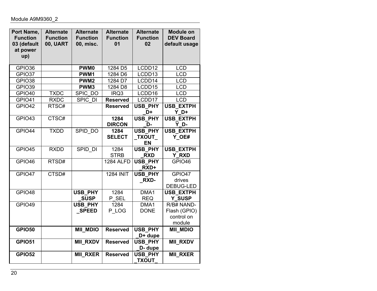| Port Name,<br><b>Function</b><br>03 (default<br>at power<br>up) | <b>Alternate</b><br><b>Function</b><br><b>00, UART</b> | <b>Alternate</b><br><b>Function</b><br>00, misc. | <b>Alternate</b><br><b>Function</b><br>01 | <b>Alternate</b><br><b>Function</b><br>02   | <b>Module on</b><br><b>DEV Board</b><br>default usage |
|-----------------------------------------------------------------|--------------------------------------------------------|--------------------------------------------------|-------------------------------------------|---------------------------------------------|-------------------------------------------------------|
| GPIO36                                                          |                                                        | <b>PWM0</b>                                      | 1284 D5                                   | LCDD12                                      | <b>LCD</b>                                            |
| GPIO37                                                          |                                                        | PWM1                                             | 1284 D6                                   | LCDD13                                      | <b>LCD</b>                                            |
| GPIO38                                                          |                                                        | PWM <sub>2</sub>                                 | 1284 D7                                   | LCDD14                                      | <b>LCD</b>                                            |
| GPIO39                                                          |                                                        | PWM3                                             | 1284 D8                                   | LCDD15                                      | <b>LCD</b>                                            |
| GPIO40                                                          | <b>TXDC</b>                                            | SPIC DO                                          | IRQ3                                      | LCDD16                                      | <b>LCD</b>                                            |
| GPIO41                                                          | <b>RXDC</b>                                            | SPIC DI                                          | <b>Reserved</b>                           | LCDD17                                      | <b>LCD</b>                                            |
| GPIO42                                                          | RTSC#                                                  |                                                  | <b>Reserved</b>                           | USB_PHY<br>D+                               | <b>USB_EXTPH</b><br>$Y$ D+                            |
| GPIO43                                                          | CTSC#                                                  |                                                  | 1284<br><b>DIRCON</b>                     | USB_PHY<br>D-                               | <b>USB EXTPH</b><br>Y D-                              |
| GPIO44                                                          | <b>TXDD</b>                                            | SPID DO                                          | 1284<br><b>SELECT</b>                     | <b>USB PHY</b><br><b>TXOUT</b><br><b>EN</b> | <b>USB EXTPH</b><br>Y OE#                             |
| GPIO45                                                          | <b>RXDD</b>                                            | SPID DI                                          | 1284<br><b>STRB</b>                       | <b>USB PHY</b><br><b>RXD</b>                | <b>USB EXTPH</b><br>Y RXD                             |
| GPIO46                                                          | RTSD#                                                  |                                                  | <b>1284 ALFD</b>                          | USB_PHY<br>RXD+                             | GPIO46                                                |
| GPIO47                                                          | CTSD#                                                  |                                                  | <b>1284 INIT</b>                          | <b>USB PHY</b><br><b>RXD-</b>               | GPIO47<br>drives<br>DEBUG-LED                         |
| GPIO48                                                          |                                                        | <b>USB PHY</b><br><b>SUSP</b>                    | 1284<br>P_SEL                             | DMA1<br><b>REQ</b>                          | <b>USB EXTPH</b><br>Y_SUSP                            |
| GPIO49                                                          |                                                        | <b>USB PHY</b><br><b>SPEED</b>                   | 1284<br>P LOG                             | DMA1<br><b>DONE</b>                         | R/B# NAND-<br>Flash (GPIO)<br>control on<br>module    |
| <b>GPIO50</b>                                                   |                                                        | <b>MII MDIO</b>                                  | <b>Reserved</b>                           | USB_PHY<br>D+ dupe                          | <b>MII MDIO</b>                                       |
| <b>GPIO51</b>                                                   |                                                        | <b>MII RXDV</b>                                  | <b>Reserved</b>                           | <b>USB PHY</b><br>D- dupe                   | <b>MII RXDV</b>                                       |
| <b>GPIO52</b>                                                   |                                                        | <b>MII RXER</b>                                  | <b>Reserved</b>                           | <b>USB PHY</b><br><b>TXOUT</b>              | <b>MII RXER</b>                                       |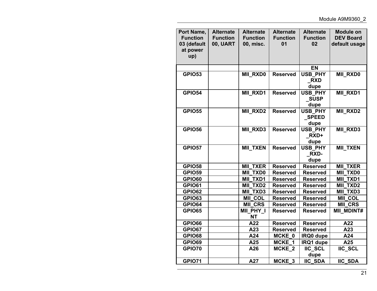| Port Name,<br><b>Function</b><br>03 (default<br>at power<br>up) | <b>Alternate</b><br><b>Function</b><br><b>00, UART</b> | <b>Alternate</b><br><b>Function</b><br>00, misc. | <b>Alternate</b><br><b>Function</b><br>01 | <b>Alternate</b><br><b>Function</b><br>02 | <b>Module on</b><br><b>DEV Board</b><br>default usage |
|-----------------------------------------------------------------|--------------------------------------------------------|--------------------------------------------------|-------------------------------------------|-------------------------------------------|-------------------------------------------------------|
|                                                                 |                                                        |                                                  |                                           | <b>EN</b>                                 |                                                       |
| <b>GPIO53</b>                                                   |                                                        | <b>MIL RXD0</b>                                  | <b>Reserved</b>                           | <b>USB PHY</b><br><b>RXD</b><br>dupe      | MII_RXD0                                              |
| <b>GPIO54</b>                                                   |                                                        | <b>MIL RXD1</b>                                  | <b>Reserved</b>                           | USB_PHY<br><b>SUSP</b><br>dupe            | MII_RXD1                                              |
| <b>GPIO55</b>                                                   |                                                        | <b>MII RXD2</b>                                  | <b>Reserved</b>                           | <b>USB PHY</b><br><b>SPEED</b><br>dupe    | <b>MIL RXD2</b>                                       |
| <b>GPIO56</b>                                                   |                                                        | <b>MII RXD3</b>                                  | <b>Reserved</b>                           | USB_PHY<br>RXD+<br>dupe                   | <b>MII RXD3</b>                                       |
| <b>GPIO57</b>                                                   |                                                        | <b>MII TXEN</b>                                  | <b>Reserved</b>                           | <b>USB PHY</b><br><b>RXD-</b><br>dupe     | <b>MII TXEN</b>                                       |
| <b>GPIO58</b>                                                   |                                                        | <b>MII TXER</b>                                  | <b>Reserved</b>                           | <b>Reserved</b>                           | <b>MII TXER</b>                                       |
| <b>GPIO59</b>                                                   |                                                        | <b>MII TXD0</b>                                  | <b>Reserved</b>                           | <b>Reserved</b>                           | <b>MII TXD0</b>                                       |
| <b>GPIO60</b>                                                   |                                                        | <b>MII TXD1</b>                                  | <b>Reserved</b>                           | <b>Reserved</b>                           | <b>MII TXD1</b>                                       |
| <b>GPIO61</b>                                                   |                                                        | <b>MII TXD2</b>                                  | <b>Reserved</b>                           | <b>Reserved</b>                           | <b>MII_TXD2</b>                                       |
| <b>GPIO62</b>                                                   |                                                        | <b>MII_TXD3</b>                                  | <b>Reserved</b>                           | <b>Reserved</b>                           | <b>MII TXD3</b>                                       |
| <b>GPIO63</b>                                                   |                                                        | <b>MIL COL</b>                                   | <b>Reserved</b>                           | <b>Reserved</b>                           | MII_COL                                               |
| <b>GPIO64</b>                                                   |                                                        | <b>MII CRS</b>                                   | <b>Reserved</b>                           | <b>Reserved</b>                           | <b>MIL CRS</b>                                        |
| <b>GPIO65</b>                                                   |                                                        | MII PHY I<br><b>NT</b>                           | <b>Reserved</b>                           | <b>Reserved</b>                           | <b>MII_MDINT#</b>                                     |
| <b>GPIO66</b>                                                   |                                                        | A22                                              | <b>Reserved</b>                           | <b>Reserved</b>                           | A22                                                   |
| <b>GPIO67</b>                                                   |                                                        | A23                                              | <b>Reserved</b>                           | <b>Reserved</b>                           | A23                                                   |
| <b>GPIO68</b>                                                   |                                                        | A24                                              | MCKE 0                                    | IRQ0 dupe                                 | A24                                                   |
| <b>GPIO69</b>                                                   |                                                        | A25                                              | MCKE 1                                    | IRQ1 dupe                                 | A25                                                   |
| <b>GPIO70</b>                                                   |                                                        | A26                                              | MCKE <sub>2</sub>                         | <b>IIC SCL</b><br>dupe                    | <b>IIC SCL</b>                                        |
| <b>GPIO71</b>                                                   |                                                        | A27                                              | MCKE <sub>3</sub>                         | <b>IIC SDA</b>                            | <b>IIC SDA</b>                                        |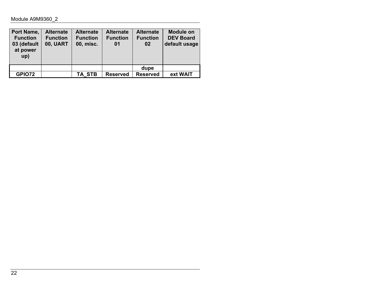| Port Name,<br><b>Function</b><br>03 (default<br>at power<br>up) | <b>Alternate</b><br><b>Function</b><br><b>00, UART</b> | <b>Alternate</b><br><b>Function</b><br>00, misc. | <b>Alternate</b><br><b>Function</b><br>01 | <b>Alternate</b><br><b>Function</b><br>02 | <b>Module on</b><br><b>DEV Board</b><br>default usage |
|-----------------------------------------------------------------|--------------------------------------------------------|--------------------------------------------------|-------------------------------------------|-------------------------------------------|-------------------------------------------------------|
|                                                                 |                                                        |                                                  |                                           | dupe                                      |                                                       |
| <b>GPIO72</b>                                                   |                                                        | TA STB                                           | <b>Reserved</b>                           | <b>Reserved</b>                           | ext WAIT                                              |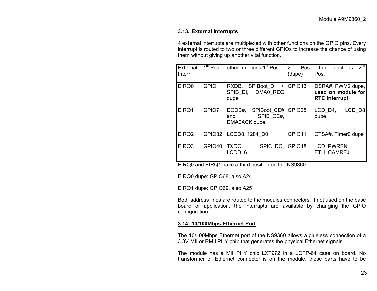#### **3.13. External Interrupts**

4 external interrupts are multiplexed with other functions on the GPIO pins. Every interrupt is routed to two or three different GPIOs to increase the chance of using them without giving up another vital function.

| External<br>Interr. | 1 <sup>st</sup> Pos. | other functions 1 <sup>st</sup> Pos.                          | $\overline{2^{nd}}$ Pos.<br>(dupe) | 2 <sub>nd</sub><br>functions<br>other<br>Pos.                   |
|---------------------|----------------------|---------------------------------------------------------------|------------------------------------|-----------------------------------------------------------------|
| EIRQ0               | GPIO1                | RXDB, SPIBoot DI +<br>DMA0 REQ<br>SPIB DI.<br>dupe            | GPIO <sub>13</sub>                 | DSRA#, PWM2 dupe,<br>used on module for<br><b>RTC</b> interrupt |
| EIRQ1               | GPIO7                | DCDB#, SPIBoot CE# GPIO28<br>SPIB CE#,<br>and<br>DMA0ACK dupe |                                    | LCD <sub>1</sub><br>LCD D8<br>dupe                              |
| EIRQ <sub>2</sub>   | GPIO32               | LCDD8, 1284 D0                                                | GPIO11                             | CTSA#, Timer0 dupe                                              |
| EIRQ3               | GPIO <sub>40</sub>   | TXDC,<br>SPIC DO, GPIO18<br>LCDD16                            |                                    | LCD PWREN,<br>ETH CAMREJ                                        |

EIRQ0 and EIRQ1 have a third position on the NS9360:

EIRQ0 dupe: GPIO68, also A24

EIRQ1 dupe: GPIO69, also A25

Both address lines are routed to the modules connectors. If not used on the baseboard or application, the interrupts are available by changing the GPIO configuration

#### **3.14. 10/100Mbps Ethernet Port**

The 10/100Mbps Ethernet port of the NS9360 allows a glueless connection of a 3.3V MII or RMII PHY chip that generates the physical Ethernet signals.

The module has a MII PHY chip LXT972 in a LQFP-64 case on board. No transformer or Ethernet connector is on the module, these parts have to be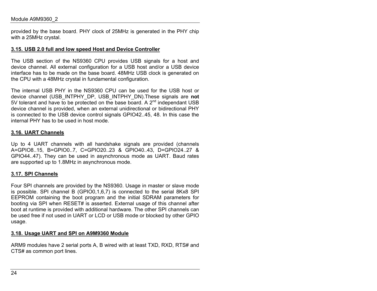provided by the base board. PHY clock of 25MHz is generated in the PHY chip with a 25MHz crystal.

#### **3.15. USB 2.0 full and low speed Host and Device Controller**

The USB section of the NS9360 CPU provides USB signals for a host and device channel. All external configuration for a USB host and/or a USB device interface has to be made on the base board. 48MHz USB clock is generated on the CPU with a 48MHz crystal in fundamental configuration.

The internal USB PHY in the NS9360 CPU can be used for the USB host ordevice channel (USB\_INTPHY\_DP, USB\_INTPHY\_DN).These signals are **not** 5V tolerant and have to be protected on the base board. A  $2^{nd}$  independant USB device channel is provided, when an external unidirectional or bidirectional PHY is connected to the USB device control signals GPIO42..45, 48. In this case the internal PHY has to be used in host mode.

#### **3.16. UART Channels**

Up to 4 UART channels with all handshake signals are provided (channels A=GPIO8..15, B=GPIO0..7, C=GPIO20..23 & GPIO40..43, D=GPIO24..27 & GPIO44..47). They can be used in asynchronous mode as UART. Baud rates are supported up to 1.8MHz in asynchronous mode.

#### **3.17. SPI Channels**

Four SPI channels are provided by the NS9360. Usage in master or slave mode is possible. SPI channel B (GPIO0,1,6,7) is connected to the serial 8Kx8 SPI EEPROM containing the boot program and the initial SDRAM parameters for booting via SPI when RESET# is asserted. External usage of this channel after boot at runtime is provided with additional hardware. The other SPI channels can be used free if not used in UART or LCD or USB mode or blocked by other GPIO usage.

#### **3.18. Usage UART and SPI on A9M9360 Module**

ARM9 modules have 2 serial ports A, B wired with at least TXD, RXD, RTS# and CTS# as common port lines.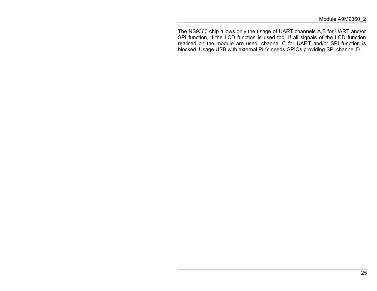The NS9360 chip allows only the usage of UART channels A,B for UART and/or SPI function, if the LCD function is used too. If all signals of the LCD function realised on the module are used, channel C for UART and/or SPI function is blocked. Usage USB with external PHY needs GPIOs providing SPI channel D.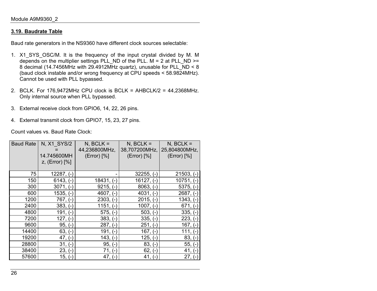# **3.19. Baudrate Table**

Baud rate generators in the NS9360 have different clock sources selectable:

- 1. X1\_SYS\_OSC/M. It is the frequency of the input crystal divided by M. M depends on the multiplier settings PLL\_ND of the PLL.  $M = 2$  at PLL\_ND >= 8 decimal (14.7456MHz with 29.4912MHz quartz), unusable for PLL\_ND < 8 (baud clock instable and/or wrong frequency at CPU speeds < 58.9824MHz). Cannot be used with PLL bypassed.
- 2. BCLK. For 176,9472MHz CPU clock is BCLK = AHBCLK/2 = 44,2368MHz. Only internal source when PLL bypassed.
- 3. External receive clock from GPIO6, 14, 22, 26 pins.
- 4. External transmit clock from GPIO7, 15, 23, 27 pins.

Count values vs. Baud Rate Clock:

| <b>Baud Rate</b> | N, X1_SYS/2<br>14.745600MH<br>z, $(Error)$ [%] | $N$ , BCLK =<br>44,236800MHz,<br>(Error) [%] | $N$ , BCLK =<br>38,707200MHz,<br>(Error) [%] | $N$ , BCLK =<br>25,804800MHz,<br>(Error) [%] |
|------------------|------------------------------------------------|----------------------------------------------|----------------------------------------------|----------------------------------------------|
| 75               | $12287, (-)$                                   |                                              | $32255, (-)$                                 | $21503, (-)$                                 |
| 150              | $6143, (-)$                                    | $18431, (-)$                                 | $16127, (-)$                                 | $10751, (-)$                                 |
| 300              | $3071, (-)$                                    | $9215, (-)$                                  | $8063, (-)$                                  | $5375, (-)$                                  |
| 600              | 1535,<br>$(-)$                                 | $4607, (-)$                                  | $4031, (-)$                                  | $2687, (-)$                                  |
| 1200             | 767, (-)                                       | $2303, (-)$                                  | $2015, (-)$                                  | $1343, (-)$                                  |
| 2400             | $383, (-)$                                     | $1151, (-)$                                  | $1007, (-)$                                  | $671, (-)$                                   |
| 4800             | 191,<br>$(-)$                                  | $575, (-)$                                   | $503, (-)$                                   | $335, (-)$                                   |
| 7200             | 127,<br>$\overline{a}$                         | $383, (-)$                                   | $335, (-)$                                   | 223,                                         |
| 9600             | 95,<br>$\blacksquare$                          | $287, (-)$                                   | $251, (-)$                                   | 167,<br>$(-)$                                |
| 14400            | $63, (-)$                                      | $191, (-)$                                   | $167, (-)$                                   | 111,                                         |
| 19200            | 47.<br>$\blacksquare$                          | $143, (-)$                                   | $125, (-)$                                   | $83, (-)$                                    |
| 28800            | 31                                             | $95, (-)$                                    | $83, (-)$                                    | $55, (-)$                                    |
| 38400            | 23,<br>$(-)$                                   | $71, (-)$                                    | $62, (-)$                                    | $41, (-)$                                    |
| 57600            | 15, $(-)$                                      | $47, (-)$                                    | 41,<br>н,                                    | 27,                                          |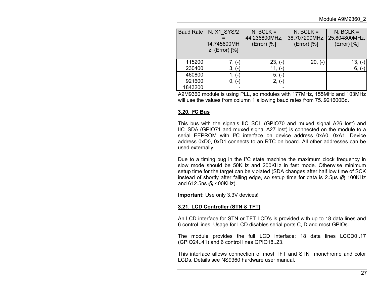| Baud Rate | N, X1 SYS/2<br>14.745600MH<br>$z$ , (Error) $[%]$ | $N$ , BCLK =<br>44,236800MHz,<br>(Error) [%] | $N$ , BCLK =<br>38,707200MHz,<br>(Error) [%] | $N$ , BCLK =<br>25,804800MHz,<br>(Error) [%] |
|-----------|---------------------------------------------------|----------------------------------------------|----------------------------------------------|----------------------------------------------|
| 115200    | 7. (-)                                            | $23, (-)$                                    | $20, (-)$                                    | $13, (-)$                                    |
| 230400    | $3, (-)$                                          | 11, (-)                                      |                                              | 6.                                           |
| 460800    | 1. (-)                                            | $5, (-)$                                     |                                              |                                              |
| 921600    | $0, (-)$                                          | $2, (-)$                                     |                                              |                                              |
| 1843200   |                                                   |                                              |                                              |                                              |

A9M9360 module is using PLL, so modules with 177MHz, 155MHz and 103MHz will use the values from column 1 allowing baud rates from 75..921600Bd.

#### **3.20. I²C Bus**

This bus with the signals IIC\_SCL (GPIO70 and muxed signal A26 lost) and IIC\_SDA (GPIO71 and muxed signal A27 lost) is connected on the module to a serial EEPROM with I<sup>2</sup>C interface on device address 0xA0, 0xA1. Device address 0xD0, 0xD1 connects to an RTC on board. All other addresses can be used externally.

Due to a timing bug in the I²C state machine the maximum clock frequency in slow mode should be 50KHz and 200KHz in fast mode. Otherwise minimumsetup time for the target can be violated (SDA changes after half low time of SCK instead of shortly after falling edge, so setup time for data is 2.5µs @ 100KHz and 612.5ns @ 400KHz).

**Important:** Use only 3.3V devices!

#### **3.21. LCD Controller (STN & TFT)**

An LCD interface for STN or TFT LCD's is provided with up to 18 data lines and 6 control lines. Usage for LCD disables serial ports C, D and most GPIOs.

The module provides the full LCD interface: 18 data lines LCCD0..17 (GPIO24..41) and 6 control lines GPIO18..23.

This interface allows connection of most TFT and STN monchrome and colorLCDs. Details see NS9360 hardware user manual.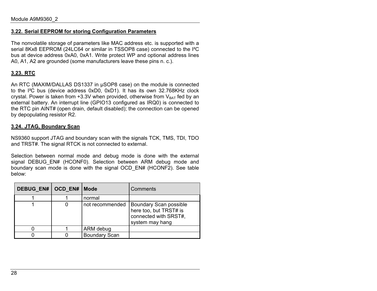#### **3.22. Serial EEPROM for storing Configuration Parameters**

The nonvolatile storage of parameters like MAC address etc. is supported with a serial 8Kx8 EEPROM (24LC64 or similar in TSSOP8 case) connected to the I²C bus at device address 0xA0, 0xA1. Write protect WP and optional address lines A0, A1, A2 are grounded (some manufacturers leave these pins n. c.).

## **3.23. RTC**

An RTC (MAXIM/DALLAS DS1337 in µSOP8 case) on the module is connected to the I²C bus (device address 0xD0, 0xD1). It has its own 32.768KHz clock crystal. Power is taken from  $+3.3V$  when provided, otherwise from  $V_{BAT}$  fed by an external battery. An interrupt line (GPIO13 configured as IRQ0) is connected to the RTC pin AINT# (open drain, default disabled); the connection can be opened by depopulating resistor R2.

#### **3.24. JTAG, Boundary Scan**

NS9360 support JTAG and boundary scan with the signals TCK, TMS, TDI, TDO and TRST#. The signal RTCK is not connected to external.

Selection between normal mode and debug mode is done with the external signal DEBUG EN# (HCONF0). Selection between ARM debug mode and boundary scan mode is done with the signal OCD\_EN# (HCONF2). See table below:

| DEBUG EN#   OCD EN#   Mode |                      | Comments                                                                                     |
|----------------------------|----------------------|----------------------------------------------------------------------------------------------|
|                            | normal               |                                                                                              |
|                            | not recommended      | Boundary Scan possible<br>here too, but TRST# is<br>connected with SRST#,<br>system may hang |
|                            | ARM debug            |                                                                                              |
|                            | <b>Boundary Scan</b> |                                                                                              |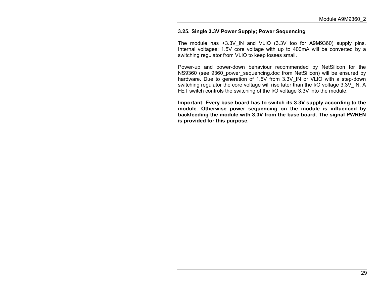#### **3.25. Single 3.3V Power Supply; Power Sequencing**

The module has +3.3V IN and VLIO (3.3V too for A9M9360) supply pins. Internal voltages: 1.5V core voltage with up to 400mA will be converted by a switching regulator from VLIO to keep losses small.

Power-up and power-down behaviour recommended by NetSilicon for the NS9360 (see 9360\_power\_sequencing.doc from NetSilicon) will be ensured by hardware. Due to generation of 1.5V from 3.3V\_IN or VLIO with a step-down switching regulator the core voltage will rise later than the I/O voltage 3.3V\_IN. A FET switch controls the switching of the I/O voltage 3.3V into the module.

**Important: Every base board has to switch its 3.3V supply according to the module. Otherwise power sequencing on the module is influenced by backfeeding the module with 3.3V from the base board. The signal PWREN is provided for this purpose.**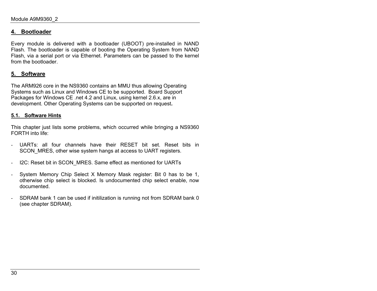# **4. Bootloader**

Every module is delivered with a bootloader (UBOOT) pre-installed in NAND Flash. The bootloader is capable of booting the Operating System from NAND Flash, via a serial port or via Ethernet. Parameters can be passed to the kernel from the bootloader.

# **5. Software**

The ARM926 core in the NS9360 contains an MMU thus allowing Operating Systems such as Linux and Windows CE to be supported. Board Support Packages for Windows CE .net 4.2 and Linux, using kernel 2.6.x, are in development. Other Operating Systems can be supported on request**.**

#### **5.1. Software Hints**

This chapter just lists some problems, which occurred while bringing a NS9360 FORTH into life:

- UARTs: all four channels have their RESET bit set. Reset bits inSCON MRES, other wise system hangs at access to UART registers.
- I2C: Reset bit in SCON\_MRES. Same effect as mentioned for UARTs
- System Memory Chip Select X Memory Mask register: Bit 0 has to be 1, otherwise chip select is blocked. Is undocumented chip select enable, now documented.
- SDRAM bank 1 can be used if initilization is running not from SDRAM bank 0 (see chapter SDRAM).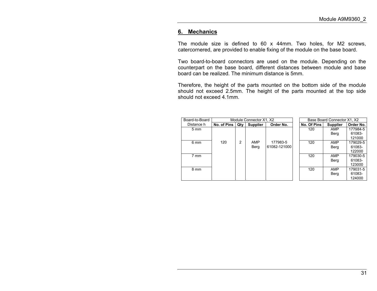# **6. Mechanics**

The module size is defined to 60 x 44mm. Two holes, for M2 screws, catercornered, are provided to enable fixing of the module on the base board.

Two board-to-board connectors are used on the module. Depending on the counterpart on the base board, different distances between module and base board can be realized. The minimum distance is 5mm.

Therefore, the height of the parts mounted on the bottom side of the module should not exceed 2.5mm. The height of the parts mounted at the top side should not exceed 4.1mm.

| Board-to-Board | Module Connector X1, X2 |     |                 |                          | Base Board Connector X1, X2 |                 |                              |
|----------------|-------------------------|-----|-----------------|--------------------------|-----------------------------|-----------------|------------------------------|
| Distance h     | No. of Pins             | Qty | <b>Supplier</b> | Order No.                | No. Of Pins                 | <b>Supplier</b> | Order No.                    |
| $5 \text{ mm}$ |                         |     |                 |                          | 120                         | AMP<br>Berg     | 177984-5<br>61083-<br>121000 |
| 6 mm           | 120                     | 2   | AMP<br>Berg     | 177983-5<br>61082-121000 | 120                         | AMP<br>Berg     | 179029-5<br>61083-<br>122000 |
| $7 \text{ mm}$ |                         |     |                 |                          | 120                         | AMP<br>Berg     | 179030-5<br>61083-<br>123000 |
| 8 mm           |                         |     |                 |                          | 120                         | AMP<br>Berg     | 179031-5<br>61083-<br>124000 |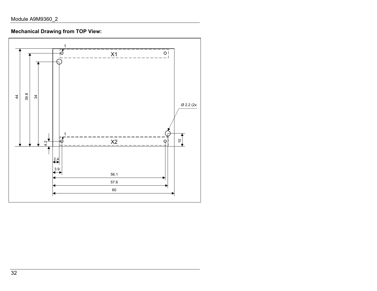**Mechanical Drawing from TOP View:**

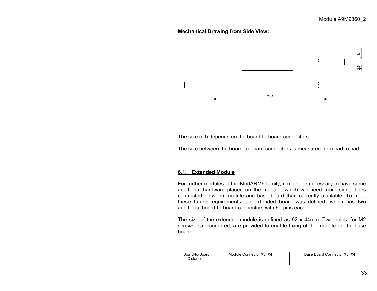#### **Mechanical Drawing from Side View:**



The size of h depends on the board-to-board connectors.

The size between the board-to-board connectors is measured from pad to pad.

#### **6.1. Extended Module**

For further modules in the ModARM9 family, it might be necessary to have some additional hardware placed on the module, which will need more signal lines connected between module and base board than currently available. To meet these future requirements, an extended board was defined, which has two additional board-to-board connectors with 60 pins each.

The size of the extended module is defined as 92 x 44mm. Two holes, for M2 screws, catercornered, are provided to enable fixing of the module on the base board.

| Base Board Connector X3, X4<br>Module Connector X3, X4 |  |
|--------------------------------------------------------|--|
|                                                        |  |
|                                                        |  |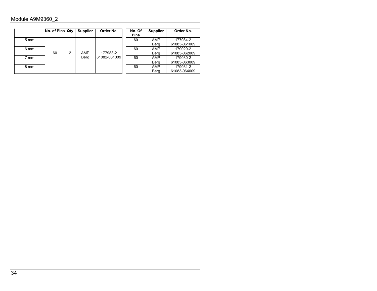|                | No. of Pins Qtv |   | <b>Supplier</b> | Order No.    | No. Of<br><b>Pins</b> | <b>Supplier</b> | Order No.    |
|----------------|-----------------|---|-----------------|--------------|-----------------------|-----------------|--------------|
| $5 \text{ mm}$ |                 |   |                 |              | 60                    | <b>AMP</b>      | 177984-2     |
|                |                 |   |                 |              |                       | Berg            | 61083-061009 |
| 6 mm           |                 |   |                 |              | 60                    | <b>AMP</b>      | 179029-2     |
|                | 60              | 2 | AMP             | 177983-2     |                       | Berg            | 61083-062009 |
| 7 mm           |                 |   | Berg            | 61082-061009 | 60                    | AMP             | 179030-2     |
|                |                 |   |                 |              |                       | Berg            | 61083-063009 |
| 8 mm           |                 |   |                 |              | 60                    | AMP             | 179031-2     |
|                |                 |   |                 |              |                       | Berg            | 61083-064009 |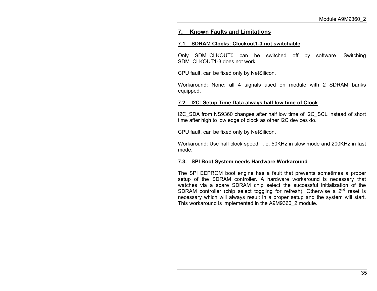# **7. Known Faults and Limitations**

#### **7.1. SDRAM Clocks: Clockout1-3 not switchable**

Only SDM\_CLKOUT0 can be switched off by software. Switching SDM\_CLKOUT1-3 does not work.

CPU fault, can be fixed only by NetSilicon.

Workaround: None; all 4 signals used on module with 2 SDRAM banks equipped.

## **7.2. I2C: Setup Time Data always half low time of Clock**

I2C\_SDA from NS9360 changes after half low time of I2C\_SCL instead of short time after high to low edge of clock as other I2C devices do.

CPU fault, can be fixed only by NetSilicon.

Workaround: Use half clock speed, i. e. 50KHz in slow mode and 200KHz in fast mode.

# **7.3. SPI Boot System needs Hardware Workaround**

The SPI EEPROM boot engine has a fault that prevents sometimes a proper setup of the SDRAM controller. A hardware workaround is necessary that watches via a spare SDRAM chip select the successful initialization of the SDRAM controller (chip select toggling for refresh). Otherwise a  $2<sup>nd</sup>$  reset is necessary which will always result in a proper setup and the system will start. This workaround is implemented in the A9M9360\_2 module.